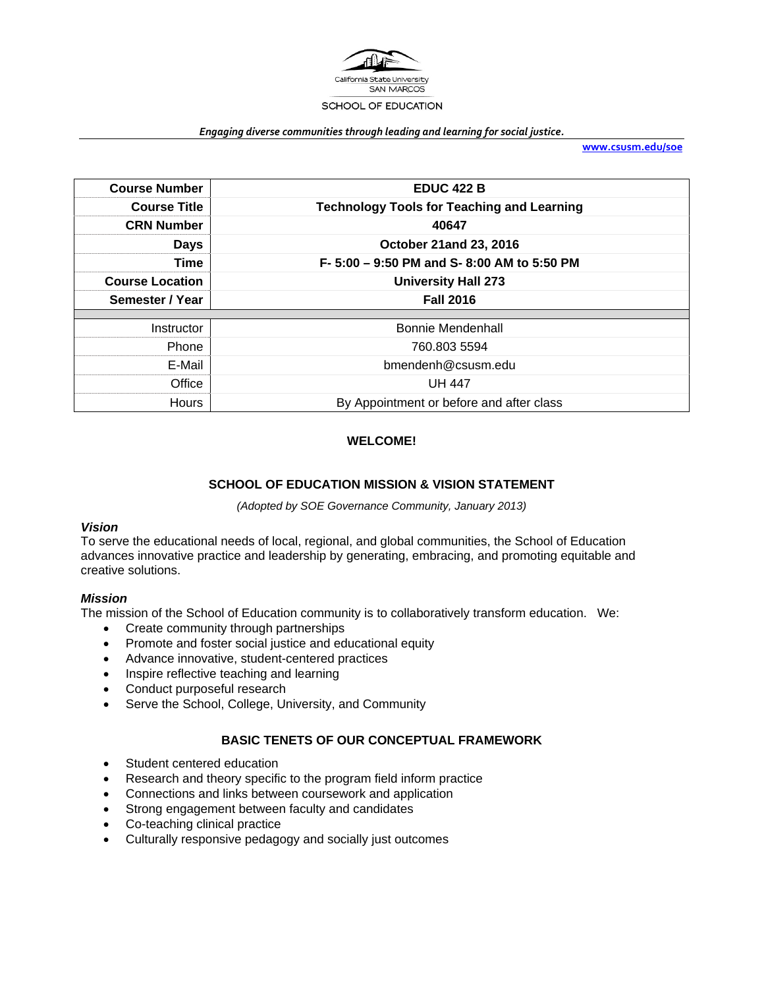

#### *Engaging diverse communities through leading and learning for social justice.*

**www.csusm.edu/soe**

| <b>Course Number</b>   | <b>EDUC 422 B</b>                                 |  |
|------------------------|---------------------------------------------------|--|
| <b>Course Title</b>    | <b>Technology Tools for Teaching and Learning</b> |  |
| <b>CRN Number</b>      | 40647                                             |  |
| <b>Days</b>            | <b>October 21and 23, 2016</b>                     |  |
| Time                   | F- 5:00 - 9:50 PM and S- 8:00 AM to 5:50 PM       |  |
| <b>Course Location</b> | <b>University Hall 273</b>                        |  |
| Semester / Year        | <b>Fall 2016</b>                                  |  |
|                        |                                                   |  |
| Instructor             | Bonnie Mendenhall                                 |  |
| Phone                  | 760.803 5594                                      |  |
| E-Mail                 | bmendenh@csusm.edu                                |  |
| Office                 | <b>UH 447</b>                                     |  |
| <b>Hours</b>           | By Appointment or before and after class          |  |

## **WELCOME!**

#### **SCHOOL OF EDUCATION MISSION & VISION STATEMENT**

*(Adopted by SOE Governance Community, January 2013)* 

#### *Vision*

To serve the educational needs of local, regional, and global communities, the School of Education advances innovative practice and leadership by generating, embracing, and promoting equitable and creative solutions.

### *Mission*

The mission of the School of Education community is to collaboratively transform education. We:

- Create community through partnerships
- Promote and foster social justice and educational equity
- Advance innovative, student-centered practices
- Inspire reflective teaching and learning
- Conduct purposeful research
- Serve the School, College, University, and Community

#### **BASIC TENETS OF OUR CONCEPTUAL FRAMEWORK**

- Student centered education
- Research and theory specific to the program field inform practice
- Connections and links between coursework and application
- Strong engagement between faculty and candidates
- Co-teaching clinical practice
- Culturally responsive pedagogy and socially just outcomes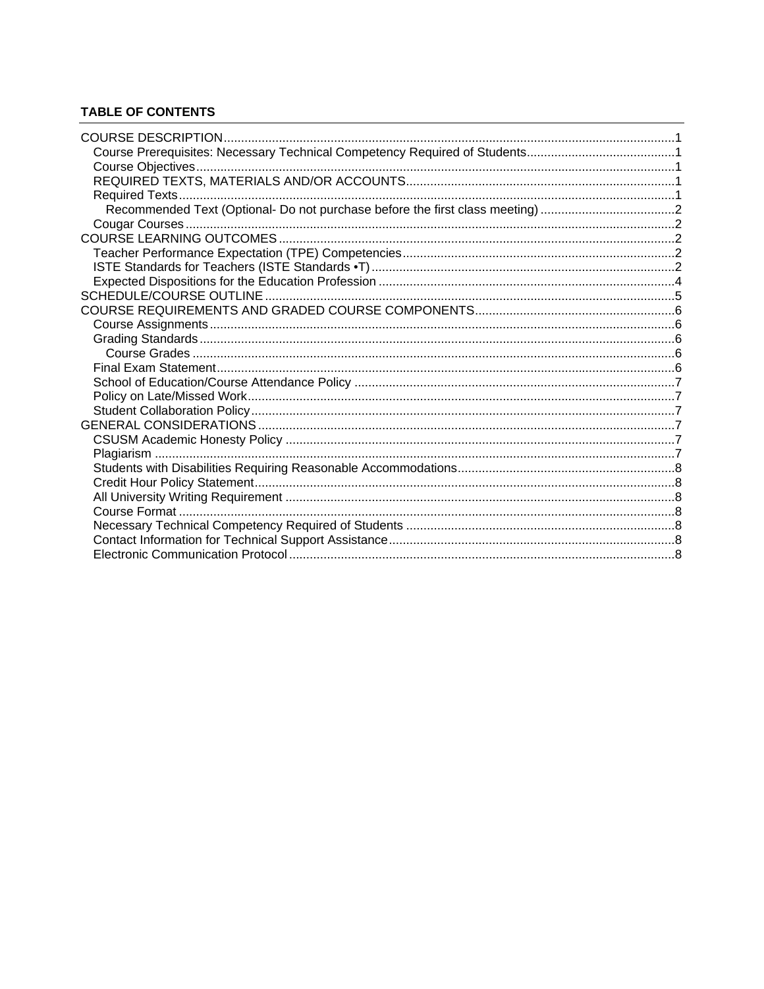# **TABLE OF CONTENTS**

| <b>SCHEDULE/COURSE OUTLINE</b> |  |
|--------------------------------|--|
|                                |  |
|                                |  |
|                                |  |
|                                |  |
|                                |  |
|                                |  |
|                                |  |
|                                |  |
|                                |  |
|                                |  |
|                                |  |
|                                |  |
|                                |  |
|                                |  |
|                                |  |
|                                |  |
|                                |  |
|                                |  |
|                                |  |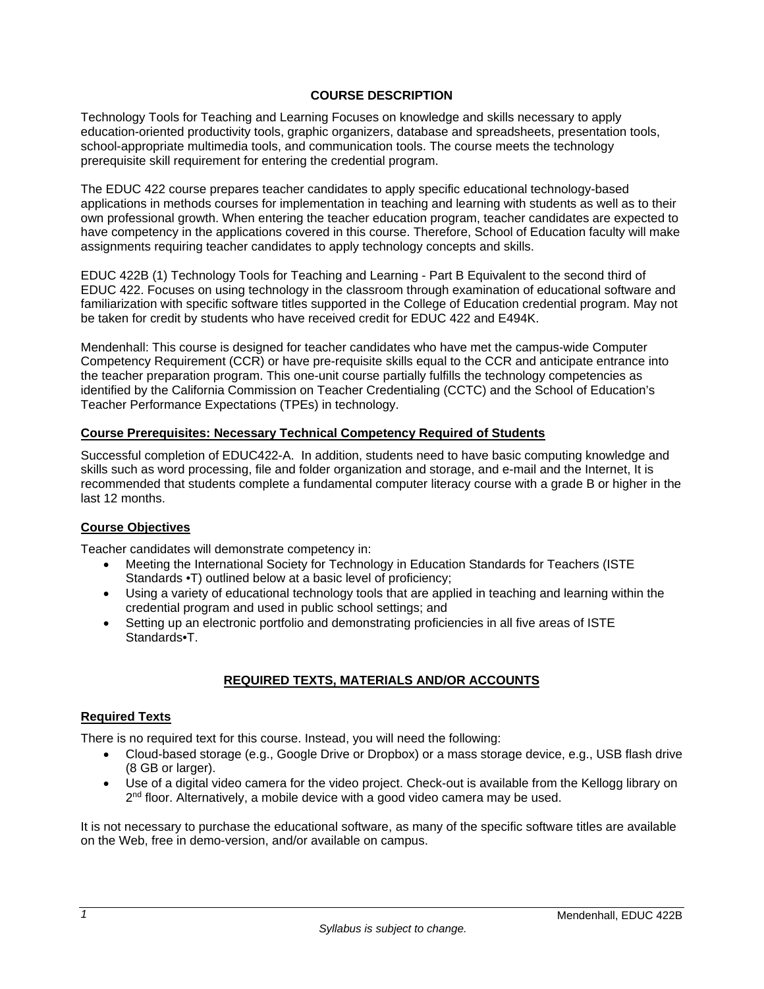## **COURSE DESCRIPTION**

Technology Tools for Teaching and Learning Focuses on knowledge and skills necessary to apply education-oriented productivity tools, graphic organizers, database and spreadsheets, presentation tools, school-appropriate multimedia tools, and communication tools. The course meets the technology prerequisite skill requirement for entering the credential program.

The EDUC 422 course prepares teacher candidates to apply specific educational technology-based applications in methods courses for implementation in teaching and learning with students as well as to their own professional growth. When entering the teacher education program, teacher candidates are expected to have competency in the applications covered in this course. Therefore, School of Education faculty will make assignments requiring teacher candidates to apply technology concepts and skills.

EDUC 422B (1) Technology Tools for Teaching and Learning - Part B Equivalent to the second third of EDUC 422. Focuses on using technology in the classroom through examination of educational software and familiarization with specific software titles supported in the College of Education credential program. May not be taken for credit by students who have received credit for EDUC 422 and E494K.

Mendenhall: This course is designed for teacher candidates who have met the campus-wide Computer Competency Requirement (CCR) or have pre-requisite skills equal to the CCR and anticipate entrance into the teacher preparation program. This one-unit course partially fulfills the technology competencies as identified by the California Commission on Teacher Credentialing (CCTC) and the School of Education's Teacher Performance Expectations (TPEs) in technology.

### **Course Prerequisites: Necessary Technical Competency Required of Students**

Successful completion of EDUC422-A. In addition, students need to have basic computing knowledge and skills such as word processing, file and folder organization and storage, and e-mail and the Internet, It is recommended that students complete a fundamental computer literacy course with a grade B or higher in the last 12 months.

#### **Course Objectives**

Teacher candidates will demonstrate competency in:

- Meeting the International Society for Technology in Education Standards for Teachers (ISTE Standards •T) outlined below at a basic level of proficiency;
- Using a variety of educational technology tools that are applied in teaching and learning within the credential program and used in public school settings; and
- Setting up an electronic portfolio and demonstrating proficiencies in all five areas of ISTE Standards•T.

## **REQUIRED TEXTS, MATERIALS AND/OR ACCOUNTS**

#### **Required Texts**

There is no required text for this course. Instead, you will need the following:

- Cloud-based storage (e.g., Google Drive or Dropbox) or a mass storage device, e.g., USB flash drive (8 GB or larger).
- Use of a digital video camera for the video project. Check-out is available from the Kellogg library on  $2<sup>nd</sup>$  floor. Alternatively, a mobile device with a good video camera may be used.

It is not necessary to purchase the educational software, as many of the specific software titles are available on the Web, free in demo-version, and/or available on campus.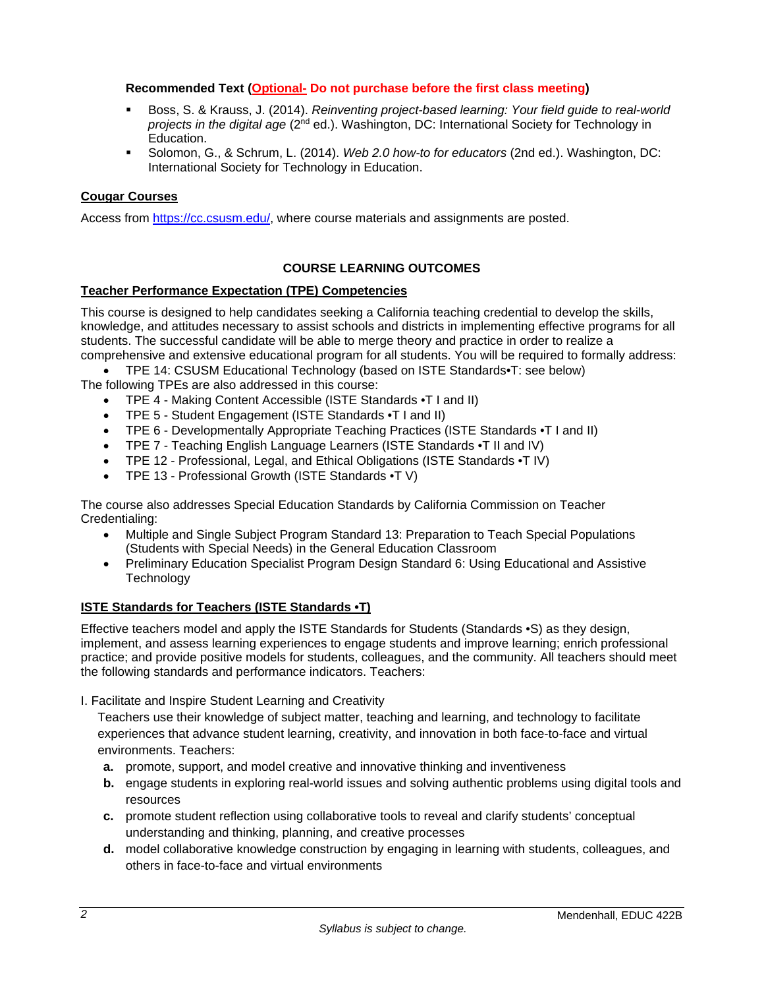## **Recommended Text (Optional- Do not purchase before the first class meeting)**

- Boss, S. & Krauss, J. (2014). *Reinventing project-based learning: Your field guide to real-world*  projects in the digital age (2<sup>nd</sup> ed.). Washington, DC: International Society for Technology in Education.
- Solomon, G., & Schrum, L. (2014). *Web 2.0 how-to for educators* (2nd ed.). Washington, DC: International Society for Technology in Education.

## **Cougar Courses**

Access from https://cc.csusm.edu/, where course materials and assignments are posted.

## **COURSE LEARNING OUTCOMES**

### **Teacher Performance Expectation (TPE) Competencies**

This course is designed to help candidates seeking a California teaching credential to develop the skills, knowledge, and attitudes necessary to assist schools and districts in implementing effective programs for all students. The successful candidate will be able to merge theory and practice in order to realize a comprehensive and extensive educational program for all students. You will be required to formally address:

TPE 14: CSUSM Educational Technology (based on ISTE Standards•T: see below)

The following TPEs are also addressed in this course:

- TPE 4 Making Content Accessible (ISTE Standards •T I and II)
- TPE 5 Student Engagement (ISTE Standards •T I and II)
- TPE 6 Developmentally Appropriate Teaching Practices (ISTE Standards •T I and II)
- TPE 7 Teaching English Language Learners (ISTE Standards •T II and IV)
- TPE 12 Professional, Legal, and Ethical Obligations (ISTE Standards •T IV)
- TPE 13 Professional Growth (ISTE Standards •T V)

The course also addresses Special Education Standards by California Commission on Teacher Credentialing:

- Multiple and Single Subject Program Standard 13: Preparation to Teach Special Populations (Students with Special Needs) in the General Education Classroom
- Preliminary Education Specialist Program Design Standard 6: Using Educational and Assistive **Technology**

## **ISTE Standards for Teachers (ISTE Standards •T)**

Effective teachers model and apply the ISTE Standards for Students (Standards •S) as they design, implement, and assess learning experiences to engage students and improve learning; enrich professional practice; and provide positive models for students, colleagues, and the community. All teachers should meet the following standards and performance indicators. Teachers:

I. Facilitate and Inspire Student Learning and Creativity

Teachers use their knowledge of subject matter, teaching and learning, and technology to facilitate experiences that advance student learning, creativity, and innovation in both face-to-face and virtual environments. Teachers:

- **a.** promote, support, and model creative and innovative thinking and inventiveness
- **b.** engage students in exploring real-world issues and solving authentic problems using digital tools and resources
- **c.** promote student reflection using collaborative tools to reveal and clarify students' conceptual understanding and thinking, planning, and creative processes
- **d.** model collaborative knowledge construction by engaging in learning with students, colleagues, and others in face-to-face and virtual environments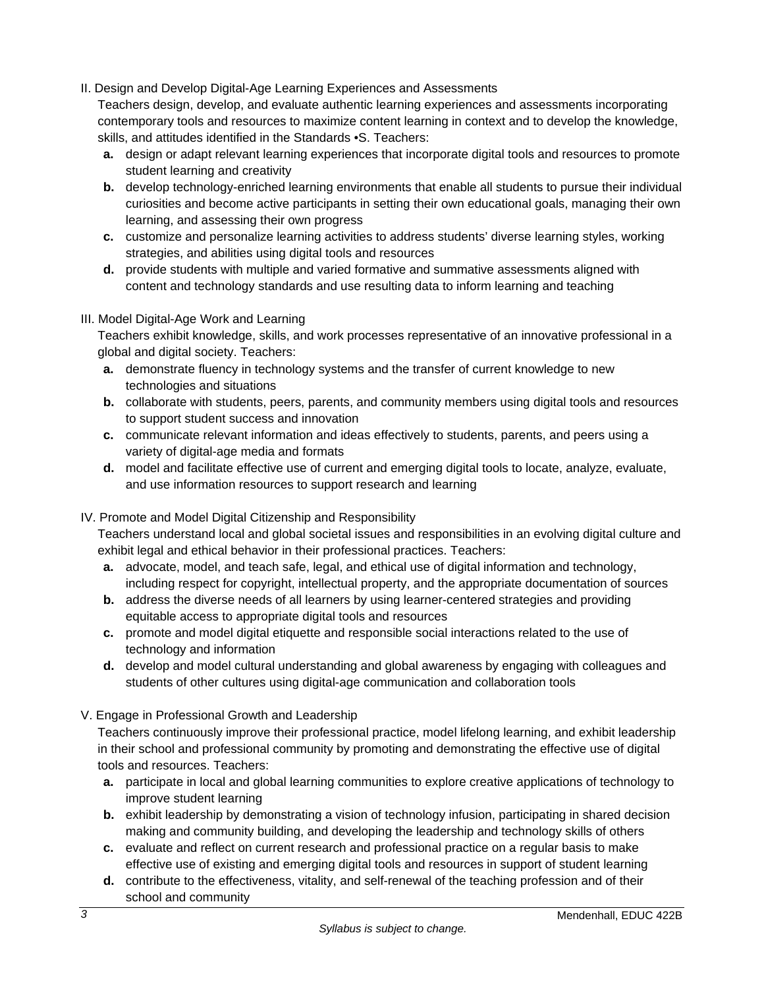## II. Design and Develop Digital-Age Learning Experiences and Assessments

Teachers design, develop, and evaluate authentic learning experiences and assessments incorporating contemporary tools and resources to maximize content learning in context and to develop the knowledge, skills, and attitudes identified in the Standards •S. Teachers:

- **a.** design or adapt relevant learning experiences that incorporate digital tools and resources to promote student learning and creativity
- **b.** develop technology-enriched learning environments that enable all students to pursue their individual curiosities and become active participants in setting their own educational goals, managing their own learning, and assessing their own progress
- **c.** customize and personalize learning activities to address students' diverse learning styles, working strategies, and abilities using digital tools and resources
- **d.** provide students with multiple and varied formative and summative assessments aligned with content and technology standards and use resulting data to inform learning and teaching

## III. Model Digital-Age Work and Learning

Teachers exhibit knowledge, skills, and work processes representative of an innovative professional in a global and digital society. Teachers:

- **a.** demonstrate fluency in technology systems and the transfer of current knowledge to new technologies and situations
- **b.** collaborate with students, peers, parents, and community members using digital tools and resources to support student success and innovation
- **c.** communicate relevant information and ideas effectively to students, parents, and peers using a variety of digital-age media and formats
- **d.** model and facilitate effective use of current and emerging digital tools to locate, analyze, evaluate, and use information resources to support research and learning

# IV. Promote and Model Digital Citizenship and Responsibility

Teachers understand local and global societal issues and responsibilities in an evolving digital culture and exhibit legal and ethical behavior in their professional practices. Teachers:

- **a.** advocate, model, and teach safe, legal, and ethical use of digital information and technology, including respect for copyright, intellectual property, and the appropriate documentation of sources
- **b.** address the diverse needs of all learners by using learner-centered strategies and providing equitable access to appropriate digital tools and resources
- **c.** promote and model digital etiquette and responsible social interactions related to the use of technology and information
- **d.** develop and model cultural understanding and global awareness by engaging with colleagues and students of other cultures using digital-age communication and collaboration tools

# V. Engage in Professional Growth and Leadership

Teachers continuously improve their professional practice, model lifelong learning, and exhibit leadership in their school and professional community by promoting and demonstrating the effective use of digital tools and resources. Teachers:

- **a.** participate in local and global learning communities to explore creative applications of technology to improve student learning
- **b.** exhibit leadership by demonstrating a vision of technology infusion, participating in shared decision making and community building, and developing the leadership and technology skills of others
- **c.** evaluate and reflect on current research and professional practice on a regular basis to make effective use of existing and emerging digital tools and resources in support of student learning
- **d.** contribute to the effectiveness, vitality, and self-renewal of the teaching profession and of their school and community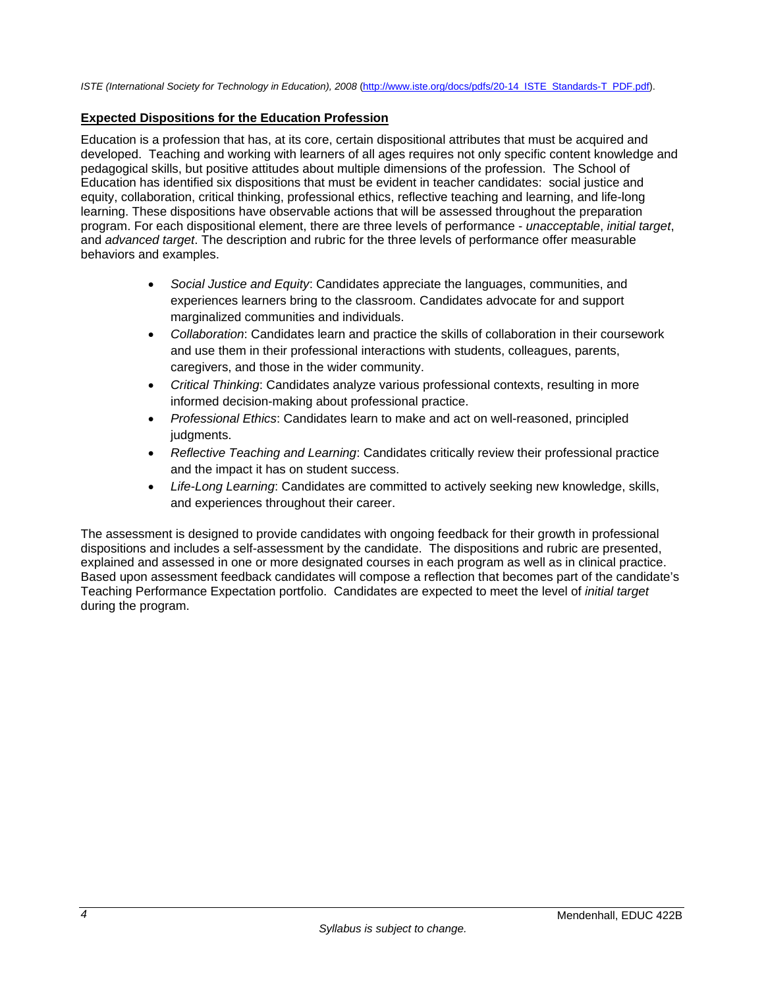*ISTE (International Society for Technology in Education), 2008* (http://www.iste.org/docs/pdfs/20-14\_ISTE\_Standards-T\_PDF.pdf).

## **Expected Dispositions for the Education Profession**

Education is a profession that has, at its core, certain dispositional attributes that must be acquired and developed. Teaching and working with learners of all ages requires not only specific content knowledge and pedagogical skills, but positive attitudes about multiple dimensions of the profession. The School of Education has identified six dispositions that must be evident in teacher candidates: social justice and equity, collaboration, critical thinking, professional ethics, reflective teaching and learning, and life-long learning. These dispositions have observable actions that will be assessed throughout the preparation program. For each dispositional element, there are three levels of performance - *unacceptable*, *initial target*, and *advanced target*. The description and rubric for the three levels of performance offer measurable behaviors and examples.

- *Social Justice and Equity*: Candidates appreciate the languages, communities, and experiences learners bring to the classroom. Candidates advocate for and support marginalized communities and individuals.
- *Collaboration*: Candidates learn and practice the skills of collaboration in their coursework and use them in their professional interactions with students, colleagues, parents, caregivers, and those in the wider community.
- *Critical Thinking*: Candidates analyze various professional contexts, resulting in more informed decision-making about professional practice.
- *Professional Ethics*: Candidates learn to make and act on well-reasoned, principled judgments.
- *Reflective Teaching and Learning*: Candidates critically review their professional practice and the impact it has on student success.
- *Life-Long Learning*: Candidates are committed to actively seeking new knowledge, skills, and experiences throughout their career.

The assessment is designed to provide candidates with ongoing feedback for their growth in professional dispositions and includes a self-assessment by the candidate. The dispositions and rubric are presented, explained and assessed in one or more designated courses in each program as well as in clinical practice. Based upon assessment feedback candidates will compose a reflection that becomes part of the candidate's Teaching Performance Expectation portfolio. Candidates are expected to meet the level of *initial target* during the program.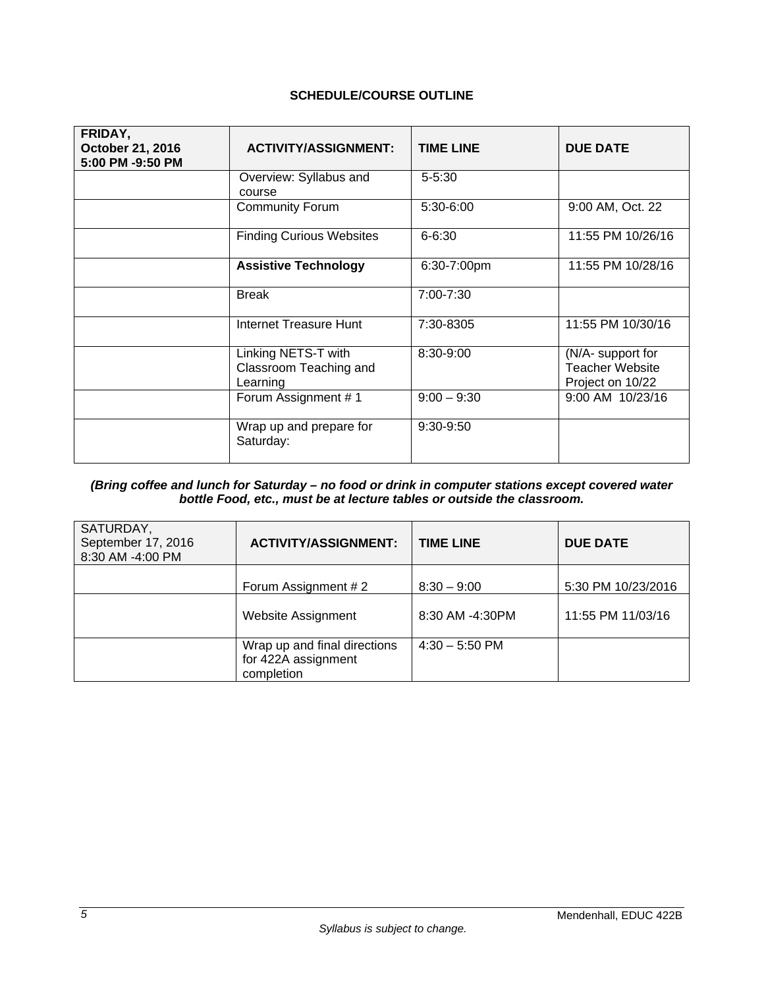# **SCHEDULE/COURSE OUTLINE**

| FRIDAY,<br>October 21, 2016<br>5:00 PM -9:50 PM | <b>ACTIVITY/ASSIGNMENT:</b>                               | <b>TIME LINE</b> | <b>DUE DATE</b>                                                 |
|-------------------------------------------------|-----------------------------------------------------------|------------------|-----------------------------------------------------------------|
|                                                 | Overview: Syllabus and<br>course                          | $5 - 5:30$       |                                                                 |
|                                                 | <b>Community Forum</b>                                    | 5:30-6:00        | 9:00 AM, Oct. 22                                                |
|                                                 | <b>Finding Curious Websites</b>                           | $6 - 6:30$       | 11:55 PM 10/26/16                                               |
|                                                 | <b>Assistive Technology</b>                               | 6:30-7:00pm      | 11:55 PM 10/28/16                                               |
|                                                 | <b>Break</b>                                              | 7:00-7:30        |                                                                 |
|                                                 | Internet Treasure Hunt                                    | 7:30-8305        | 11:55 PM 10/30/16                                               |
|                                                 | Linking NETS-T with<br>Classroom Teaching and<br>Learning | 8:30-9:00        | (N/A- support for<br><b>Teacher Website</b><br>Project on 10/22 |
|                                                 | Forum Assignment #1                                       | $9:00 - 9:30$    | 9:00 AM 10/23/16                                                |
|                                                 | Wrap up and prepare for<br>Saturday:                      | 9:30-9:50        |                                                                 |

## *(Bring coffee and lunch for Saturday – no food or drink in computer stations except covered water bottle Food, etc., must be at lecture tables or outside the classroom.*

| SATURDAY,<br>September 17, 2016<br>8:30 AM -4:00 PM | <b>ACTIVITY/ASSIGNMENT:</b>                                       | <b>TIME LINE</b> | <b>DUE DATE</b>    |
|-----------------------------------------------------|-------------------------------------------------------------------|------------------|--------------------|
|                                                     | Forum Assignment #2                                               | $8:30 - 9:00$    | 5:30 PM 10/23/2016 |
|                                                     | Website Assignment                                                | 8:30 AM -4:30PM  | 11:55 PM 11/03/16  |
|                                                     | Wrap up and final directions<br>for 422A assignment<br>completion | $4:30 - 5:50$ PM |                    |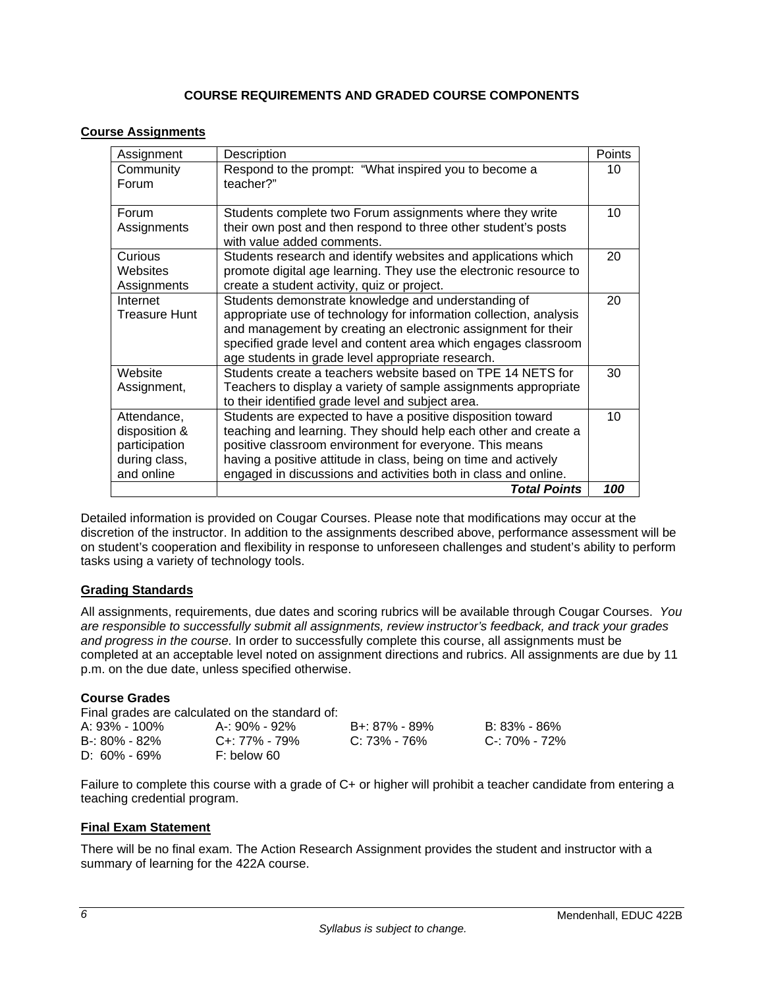## **COURSE REQUIREMENTS AND GRADED COURSE COMPONENTS**

## **Course Assignments**

| Assignment    | Description                                                        | Points |
|---------------|--------------------------------------------------------------------|--------|
| Community     | Respond to the prompt: "What inspired you to become a              | 10     |
| Forum         | teacher?"                                                          |        |
|               |                                                                    |        |
| Forum         | Students complete two Forum assignments where they write           | 10     |
| Assignments   | their own post and then respond to three other student's posts     |        |
|               | with value added comments.                                         |        |
| Curious       | Students research and identify websites and applications which     | 20     |
| Websites      | promote digital age learning. They use the electronic resource to  |        |
| Assignments   | create a student activity, quiz or project.                        |        |
| Internet      | Students demonstrate knowledge and understanding of                | 20     |
| Treasure Hunt | appropriate use of technology for information collection, analysis |        |
|               | and management by creating an electronic assignment for their      |        |
|               | specified grade level and content area which engages classroom     |        |
|               | age students in grade level appropriate research.                  |        |
| Website       | Students create a teachers website based on TPE 14 NETS for        | 30     |
| Assignment,   | Teachers to display a variety of sample assignments appropriate    |        |
|               | to their identified grade level and subject area.                  |        |
| Attendance,   | Students are expected to have a positive disposition toward        | 10     |
| disposition & | teaching and learning. They should help each other and create a    |        |
| participation | positive classroom environment for everyone. This means            |        |
| during class, | having a positive attitude in class, being on time and actively    |        |
| and online    | engaged in discussions and activities both in class and online.    |        |
|               | <b>Total Points</b>                                                | 100    |

Detailed information is provided on Cougar Courses. Please note that modifications may occur at the discretion of the instructor. In addition to the assignments described above, performance assessment will be on student's cooperation and flexibility in response to unforeseen challenges and student's ability to perform tasks using a variety of technology tools.

## **Grading Standards**

All assignments, requirements, due dates and scoring rubrics will be available through Cougar Courses. *You are responsible to successfully submit all assignments, review instructor's feedback, and track your grades and progress in the course.* In order to successfully complete this course, all assignments must be completed at an acceptable level noted on assignment directions and rubrics. All assignments are due by 11 p.m. on the due date, unless specified otherwise.

#### **Course Grades**

Final grades are calculated on the standard of:

| A: 93% - 100%    | A-: 90% - 92% | B+: 87% - 89% | B: 83% - 86%  |
|------------------|---------------|---------------|---------------|
| B-: 80% - 82%    | C+: 77% - 79% | C: 73% - 76%  | C-: 70% - 72% |
| $D: 60\% - 69\%$ | F: below 60   |               |               |

Failure to complete this course with a grade of C+ or higher will prohibit a teacher candidate from entering a teaching credential program.

#### **Final Exam Statement**

There will be no final exam. The Action Research Assignment provides the student and instructor with a summary of learning for the 422A course.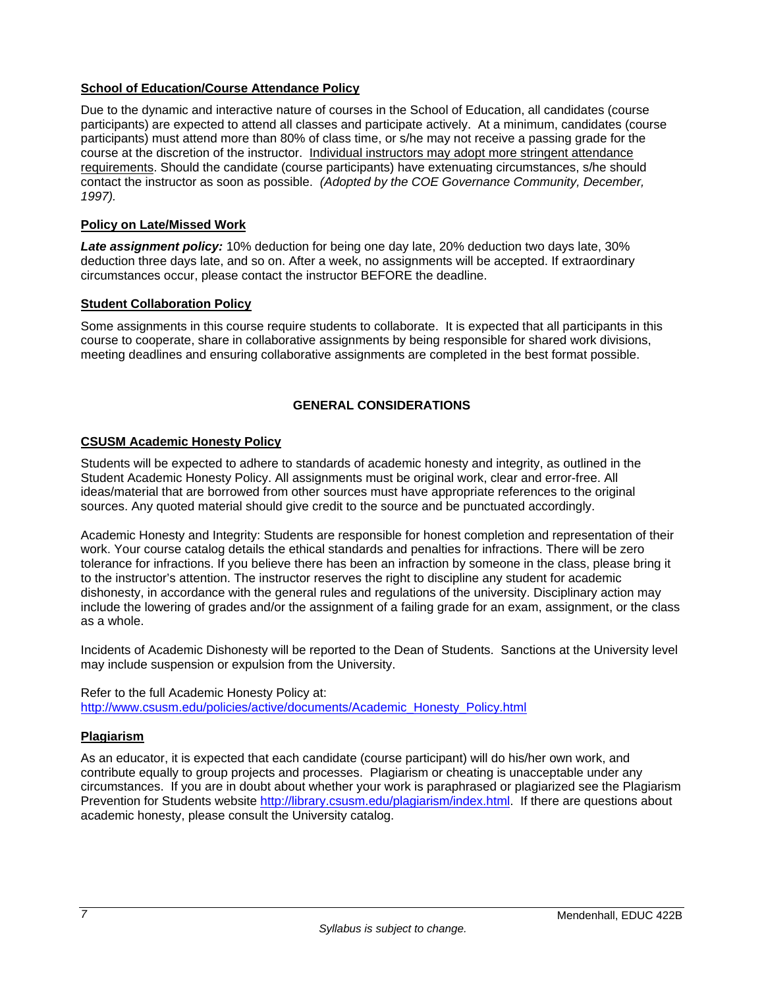## **School of Education/Course Attendance Policy**

Due to the dynamic and interactive nature of courses in the School of Education, all candidates (course participants) are expected to attend all classes and participate actively. At a minimum, candidates (course participants) must attend more than 80% of class time, or s/he may not receive a passing grade for the course at the discretion of the instructor. Individual instructors may adopt more stringent attendance requirements. Should the candidate (course participants) have extenuating circumstances, s/he should contact the instructor as soon as possible. *(Adopted by the COE Governance Community, December, 1997).*

## **Policy on Late/Missed Work**

*Late assignment policy:* 10% deduction for being one day late, 20% deduction two days late, 30% deduction three days late, and so on. After a week, no assignments will be accepted. If extraordinary circumstances occur, please contact the instructor BEFORE the deadline.

## **Student Collaboration Policy**

Some assignments in this course require students to collaborate. It is expected that all participants in this course to cooperate, share in collaborative assignments by being responsible for shared work divisions, meeting deadlines and ensuring collaborative assignments are completed in the best format possible.

# **GENERAL CONSIDERATIONS**

## **CSUSM Academic Honesty Policy**

Students will be expected to adhere to standards of academic honesty and integrity, as outlined in the Student Academic Honesty Policy. All assignments must be original work, clear and error-free. All ideas/material that are borrowed from other sources must have appropriate references to the original sources. Any quoted material should give credit to the source and be punctuated accordingly.

Academic Honesty and Integrity: Students are responsible for honest completion and representation of their work. Your course catalog details the ethical standards and penalties for infractions. There will be zero tolerance for infractions. If you believe there has been an infraction by someone in the class, please bring it to the instructor's attention. The instructor reserves the right to discipline any student for academic dishonesty, in accordance with the general rules and regulations of the university. Disciplinary action may include the lowering of grades and/or the assignment of a failing grade for an exam, assignment, or the class as a whole.

Incidents of Academic Dishonesty will be reported to the Dean of Students. Sanctions at the University level may include suspension or expulsion from the University.

Refer to the full Academic Honesty Policy at: http://www.csusm.edu/policies/active/documents/Academic\_Honesty\_Policy.html

## **Plagiarism**

As an educator, it is expected that each candidate (course participant) will do his/her own work, and contribute equally to group projects and processes. Plagiarism or cheating is unacceptable under any circumstances. If you are in doubt about whether your work is paraphrased or plagiarized see the Plagiarism Prevention for Students website http://library.csusm.edu/plagiarism/index.html. If there are questions about academic honesty, please consult the University catalog.